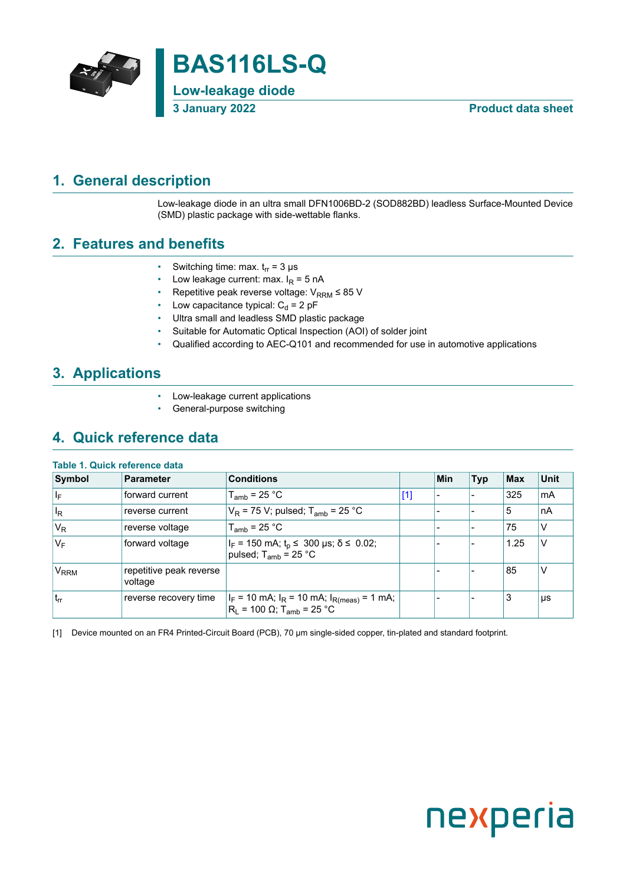

### <span id="page-0-1"></span>**1. General description**

<span id="page-0-0"></span>Low-leakage diode in an ultra small DFN1006BD-2 (SOD882BD) leadless Surface-Mounted Device (SMD) plastic package with side-wettable flanks.

### <span id="page-0-2"></span>**2. Features and benefits**

- Switching time: max.  $t_{rr}$  = 3 µs
- Low leakage current: max.  $I_R = 5$  nA
- Repetitive peak reverse voltage:  $V_{\text{RRM}} \leq 85$  V
- Low capacitance typical:  $C_d = 2$  pF
- Ultra small and leadless SMD plastic package
- Suitable for Automatic Optical Inspection (AOI) of solder joint
- Qualified according to AEC-Q101 and recommended for use in automotive applications

### <span id="page-0-3"></span>**3. Applications**

- Low-leakage current applications
- General-purpose switching

### <span id="page-0-4"></span>**4. Quick reference data**

#### **Table 1. Quick reference data**

| Symbol                  | <b>Parameter</b>                   | <b>Conditions</b>                                                                                                       |       | Min | <b>Typ</b> | <b>Max</b> | <b>Unit</b> |
|-------------------------|------------------------------------|-------------------------------------------------------------------------------------------------------------------------|-------|-----|------------|------------|-------------|
| lle.                    | forward current                    | $T_{amb}$ = 25 °C                                                                                                       | $[1]$ |     |            | 325        | mA          |
| $\mathsf{I}_\mathsf{R}$ | reverse current                    | $V_R$ = 75 V; pulsed; T <sub>amb</sub> = 25 °C                                                                          |       |     |            | 5          | nA          |
| $V_R$                   | reverse voltage                    | $T_{amb}$ = 25 °C                                                                                                       |       |     |            | 75         | v           |
| V <sub>F</sub>          | forward voltage                    | $ I_F = 150 \text{ mA}; t_p \le 300 \text{ }\mu\text{s}; \delta \le 0.02;$<br>pulsed; $T_{amb}$ = 25 °C                 |       |     |            | 1.25       | ν           |
| V <sub>RRM</sub>        | repetitive peak reverse<br>voltage |                                                                                                                         |       |     |            | 85         | ν           |
| $ t_{rr} $              | reverse recovery time              | $ I_F = 10 \text{ mA}; I_R = 10 \text{ mA}; I_{R(meas)} = 1 \text{ mA};$<br>$R_L = 100 \Omega; T_{amb} = 25 \text{ °C}$ |       |     |            | 3          | $\mu s$     |

[1] Device mounted on an FR4 Printed-Circuit Board (PCB), 70 µm single-sided copper, tin-plated and standard footprint.

# nexperia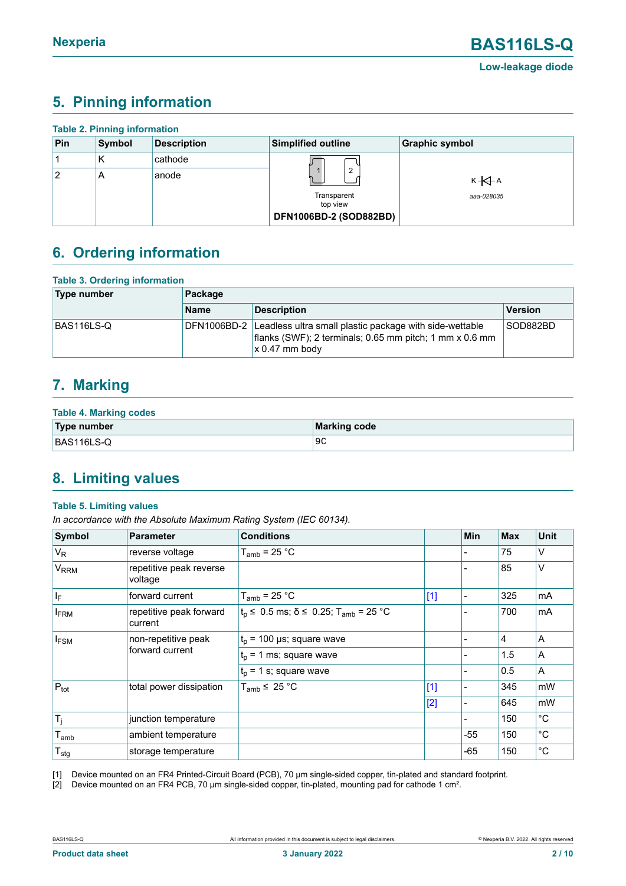### <span id="page-1-1"></span><span id="page-1-0"></span>**5. Pinning information**

| <b>Table 2. Pinning information</b> |        |                    |                           |                       |  |  |  |  |
|-------------------------------------|--------|--------------------|---------------------------|-----------------------|--|--|--|--|
| Pin                                 | Symbol | <b>Description</b> | <b>Simplified outline</b> | <b>Graphic symbol</b> |  |  |  |  |
|                                     | К      | cathode            |                           |                       |  |  |  |  |
| 2                                   | A      | anode              | $\overline{2}$            | $K + A$               |  |  |  |  |
|                                     |        |                    | Transparent<br>top view   | aaa-028035            |  |  |  |  |
|                                     |        |                    | DFN1006BD-2 (SOD882BD)    |                       |  |  |  |  |

### <span id="page-1-2"></span>**6. Ordering information**

| <b>Table 3. Ordering information</b> |             |                                                                                                                                        |          |  |  |  |
|--------------------------------------|-------------|----------------------------------------------------------------------------------------------------------------------------------------|----------|--|--|--|
| Type number                          | Package     |                                                                                                                                        |          |  |  |  |
|                                      | <b>Name</b> | <b>Description</b>                                                                                                                     | Version  |  |  |  |
| BAS116LS-Q                           | DFN1006BD-2 | Leadless ultra small plastic package with side-wettable<br>flanks (SWF); 2 terminals; 0.65 mm pitch; 1 mm x 0.6 mm<br>$x 0.47$ mm body | SOD882BD |  |  |  |

### <span id="page-1-3"></span>**7. Marking**

| <b>Table 4. Marking codes</b> |              |  |  |  |  |
|-------------------------------|--------------|--|--|--|--|
| Type number                   | Marking code |  |  |  |  |
| BAS116LS-Q                    | 9C           |  |  |  |  |

### <span id="page-1-4"></span>**8. Limiting values**

#### **Table 5. Limiting values**

*In accordance with the Absolute Maximum Rating System (IEC 60134).*

| Symbol                      | <b>Parameter</b>                       | <b>Conditions</b>                                                |       | Min   | <b>Max</b>     | <b>Unit</b> |
|-----------------------------|----------------------------------------|------------------------------------------------------------------|-------|-------|----------------|-------------|
| $V_R$                       | reverse voltage                        | $T_{amb}$ = 25 °C                                                |       |       | 75             | v           |
| <b>V<sub>RRM</sub></b>      | repetitive peak reverse<br>voltage     |                                                                  |       |       | 85             | V           |
| $\vert \vert_{\mathsf{F}}$  | forward current                        | $T_{amb}$ = 25 °C                                                | $[1]$ |       | 325            | mA          |
| <b>FRM</b>                  | repetitive peak forward<br>current     | $t_{p} \le 0.5$ ms; $\delta \le 0.25$ ; T <sub>amb</sub> = 25 °C |       |       | 700            | mA          |
| $I_{FSM}$                   | non-repetitive peak<br>forward current | $t_p$ = 100 µs; square wave                                      |       |       | $\overline{4}$ | ΙA          |
|                             |                                        | $t_0$ = 1 ms; square wave                                        |       |       | 1.5            | A           |
|                             |                                        | $t_{p}$ = 1 s; square wave                                       |       |       | 0.5            | A           |
| $P_{\text{tot}}$            | total power dissipation                | $T_{amb}$ $\leq$ 25 °C                                           | $[1]$ |       | 345            | mW          |
|                             |                                        |                                                                  | $[2]$ |       | 645            | mW          |
| $T_j$                       | junction temperature                   |                                                                  |       |       | 150            | $^{\circ}C$ |
| $T_{amb}$                   | ambient temperature                    |                                                                  |       | -55   | 150            | $^{\circ}C$ |
| $\mathsf{T}_{\textsf{stg}}$ | storage temperature                    |                                                                  |       | $-65$ | 150            | $^{\circ}C$ |

[1] Device mounted on an FR4 Printed-Circuit Board (PCB), 70 µm single-sided copper, tin-plated and standard footprint.

[2] Device mounted on an FR4 PCB, 70 µm single-sided copper, tin-plated, mounting pad for cathode 1 cm<sup>2</sup>.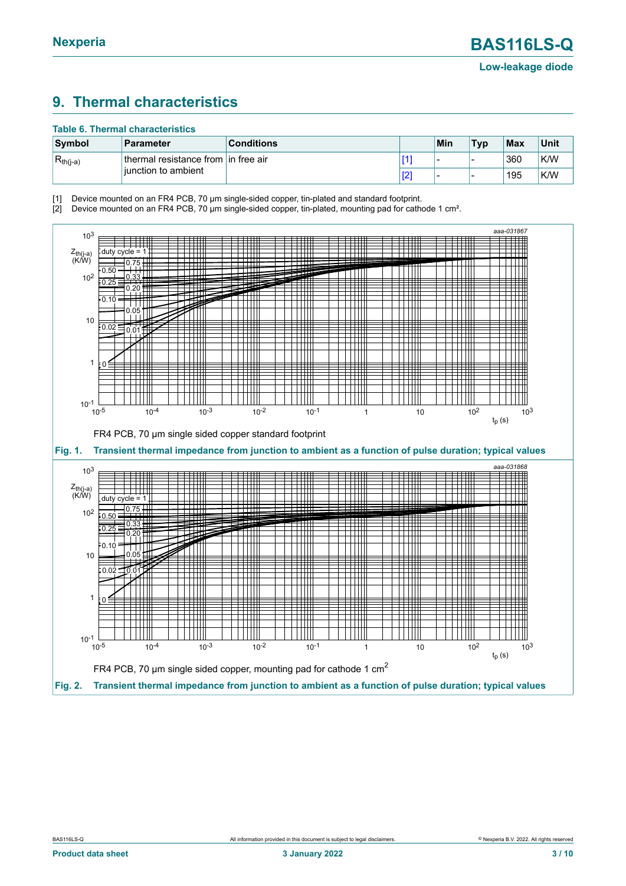# <span id="page-2-1"></span><span id="page-2-0"></span>**9. Thermal characteristics**

#### **Table 6. Thermal characteristics**

| Symbol        | Parameter                            | <b>Conditions</b> | Min | <b>Typ</b> | $ $ Max | Unit |
|---------------|--------------------------------------|-------------------|-----|------------|---------|------|
| $R_{th(j-a)}$ | thermal resistance from lin free air |                   |     | -          | 360     | K/W  |
|               | liunction to ambient                 |                   |     | -          | 195     | K/W  |

[1] Device mounted on an FR4 PCB, 70 µm single-sided copper, tin-plated and standard footprint.

[2] Device mounted on an FR4 PCB, 70 µm single-sided copper, tin-plated, mounting pad for cathode 1 cm².

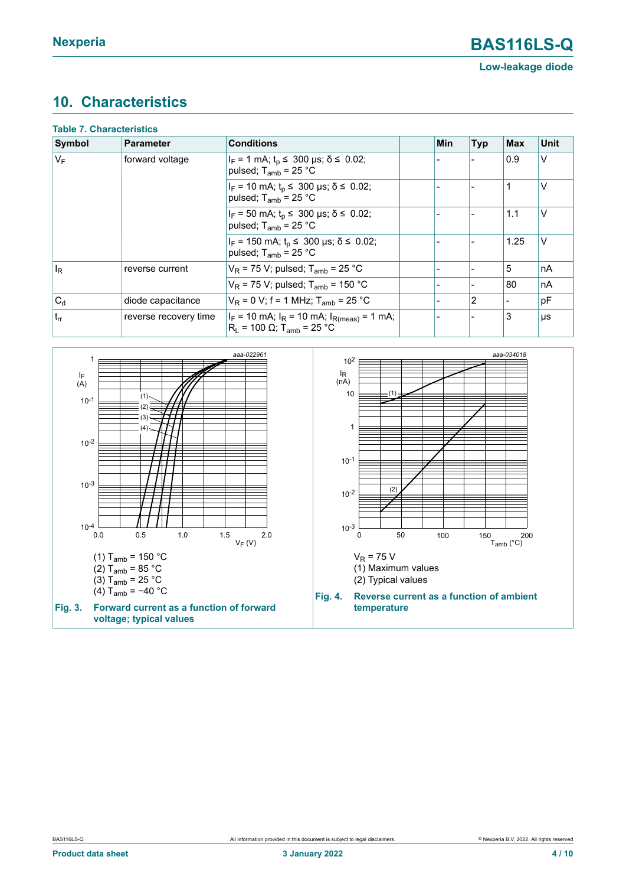### <span id="page-3-0"></span>**10. Characteristics**

| <b>Table 7. Characteristics</b> |                       |                                                                                                 |     |                |            |             |
|---------------------------------|-----------------------|-------------------------------------------------------------------------------------------------|-----|----------------|------------|-------------|
| Symbol                          | Parameter             | <b>Conditions</b>                                                                               | Min | <b>Typ</b>     | <b>Max</b> | <b>Unit</b> |
| $V_F$                           | forward voltage       | $I_F = 1$ mA; $t_p \le 300$ µs; $\delta \le 0.02$ ;<br>pulsed; $T_{amb}$ = 25 °C                |     |                | 0.9        | $\vee$      |
|                                 |                       | $I_F$ = 10 mA; $t_p$ ≤ 300 µs; $\delta$ ≤ 0.02;<br>pulsed; $T_{amb}$ = 25 °C                    |     |                |            | V           |
|                                 |                       | $I_F = 50$ mA; $t_p \le 300$ µs; $\delta \le 0.02$ ;<br>pulsed; $T_{amb}$ = 25 °C               |     |                | 1.1        | V           |
|                                 |                       | $I_F$ = 150 mA; $t_p$ ≤ 300 µs; $\delta$ ≤ 0.02;<br>pulsed; $T_{amb}$ = 25 °C                   |     |                | 1.25       | V           |
| $ I_R $                         | reverse current       | $V_R$ = 75 V; pulsed; T <sub>amb</sub> = 25 °C                                                  |     |                | 5          | nA          |
|                                 |                       | $V_R$ = 75 V; pulsed; T <sub>amb</sub> = 150 °C                                                 |     | -              | 80         | nA          |
| $ C_d $                         | diode capacitance     | $V_R = 0 V$ ; f = 1 MHz; T <sub>amb</sub> = 25 °C                                               |     | $\overline{2}$ |            | pF          |
| $ t_{rr} $                      | reverse recovery time | $ I_F = 10$ mA; $I_R = 10$ mA; $I_{R(meas)} = 1$ mA;<br>$R_1 = 100$ Ω; T <sub>amb</sub> = 25 °C |     |                | 3          | μs          |

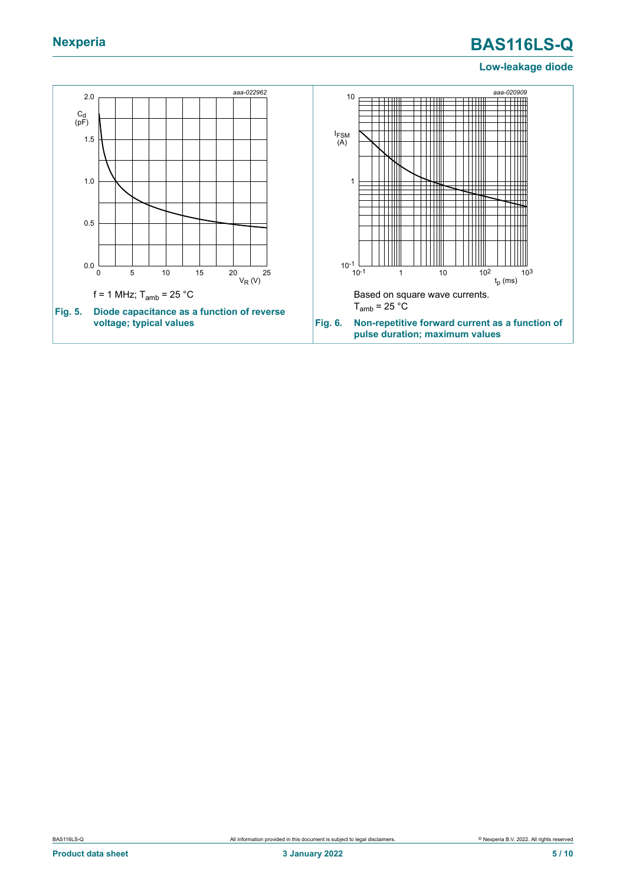# **Nexperia BAS116LS-Q**

#### **Low-leakage diode**

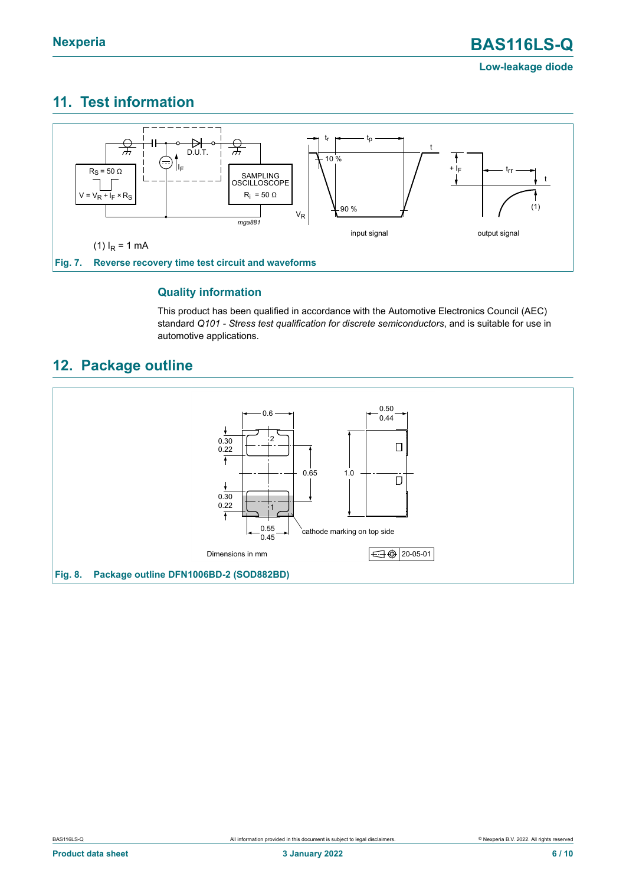### <span id="page-5-0"></span>**11. Test information**



#### **Quality information**

This product has been qualified in accordance with the Automotive Electronics Council (AEC) standard *Q101 - Stress test qualification for discrete semiconductors*, and is suitable for use in automotive applications.

# <span id="page-5-1"></span>**12. Package outline**

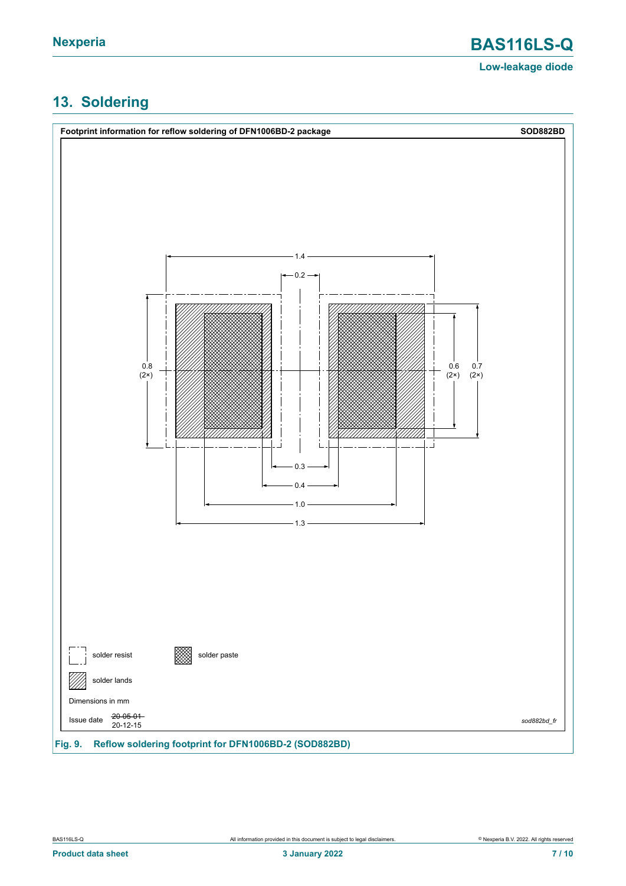# <span id="page-6-0"></span>**13. Soldering**

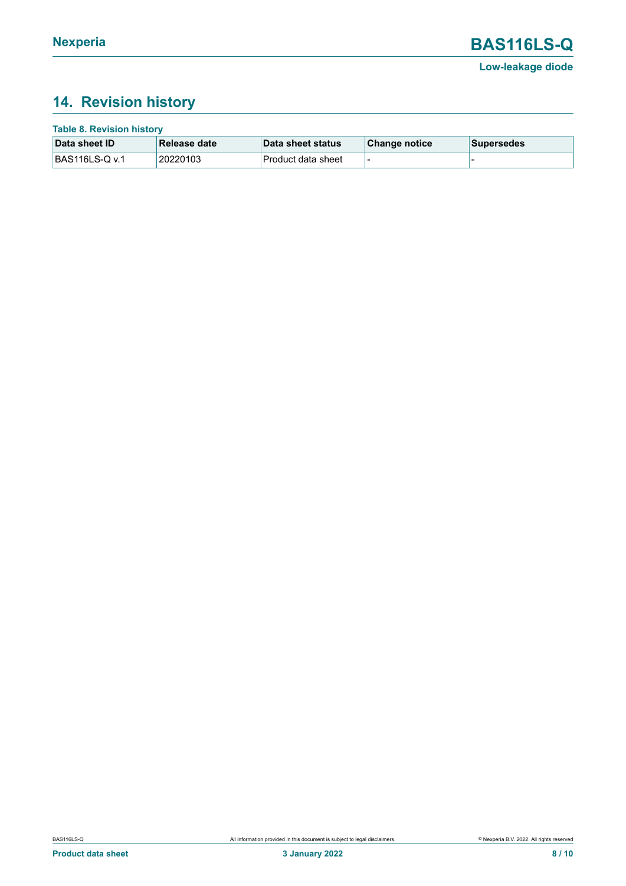# <span id="page-7-0"></span>**14. Revision history**

| <b>Table 8. Revision history</b> |               |                    |               |             |  |  |
|----------------------------------|---------------|--------------------|---------------|-------------|--|--|
| Data sheet ID                    | ∣Release date | Data sheet status  | Change notice | ∣Supersedes |  |  |
| BAS116LS-Q v.1                   | 20220103      | Product data sheet |               |             |  |  |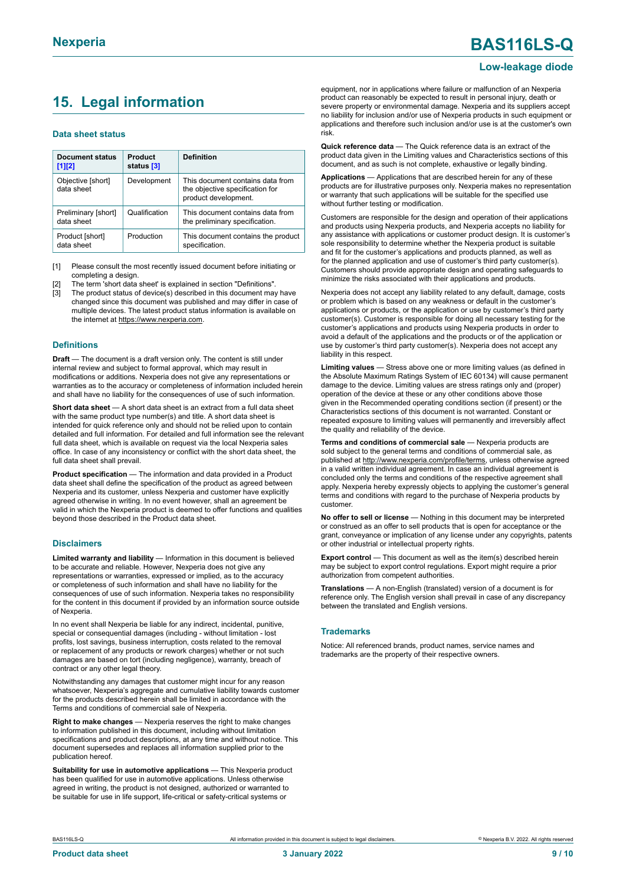# **Nexperia BAS116LS-Q**

#### **Low-leakage diode**

### <span id="page-8-0"></span>**15. Legal information**

#### **Data sheet status**

| Document status<br>$[1]$ [2]      | Product<br>status [3] | <b>Definition</b>                                                                           |
|-----------------------------------|-----------------------|---------------------------------------------------------------------------------------------|
| Objective [short]<br>data sheet   | Development           | This document contains data from<br>the objective specification for<br>product development. |
| Preliminary [short]<br>data sheet | Qualification         | This document contains data from<br>the preliminary specification.                          |
| Product [short]<br>data sheet     | Production            | This document contains the product<br>specification.                                        |

[1] Please consult the most recently issued document before initiating or completing a design.

The term 'short data sheet' is explained in section "Definitions".

[3] The product status of device(s) described in this document may have changed since this document was published and may differ in case of multiple devices. The latest product status information is available on the internet at [https://www.nexperia.com.](https://www.nexperia.com)

#### **Definitions**

**Draft** — The document is a draft version only. The content is still under internal review and subject to formal approval, which may result in modifications or additions. Nexperia does not give any representations or warranties as to the accuracy or completeness of information included herein and shall have no liability for the consequences of use of such information.

**Short data sheet** — A short data sheet is an extract from a full data sheet with the same product type number(s) and title. A short data sheet is intended for quick reference only and should not be relied upon to contain detailed and full information. For detailed and full information see the relevant full data sheet, which is available on request via the local Nexperia sales office. In case of any inconsistency or conflict with the short data sheet, the full data sheet shall prevail.

**Product specification** — The information and data provided in a Product data sheet shall define the specification of the product as agreed between Nexperia and its customer, unless Nexperia and customer have explicitly agreed otherwise in writing. In no event however, shall an agreement be valid in which the Nexperia product is deemed to offer functions and qualities beyond those described in the Product data sheet.

#### **Disclaimers**

**Limited warranty and liability** — Information in this document is believed to be accurate and reliable. However, Nexperia does not give any representations or warranties, expressed or implied, as to the accuracy or completeness of such information and shall have no liability for the consequences of use of such information. Nexperia takes no responsibility for the content in this document if provided by an information source outside of Nexperia.

In no event shall Nexperia be liable for any indirect, incidental, punitive, special or consequential damages (including - without limitation - lost profits, lost savings, business interruption, costs related to the removal or replacement of any products or rework charges) whether or not such damages are based on tort (including negligence), warranty, breach of contract or any other legal theory.

Notwithstanding any damages that customer might incur for any reason whatsoever, Nexperia's aggregate and cumulative liability towards customer for the products described herein shall be limited in accordance with the Terms and conditions of commercial sale of Nexperia.

**Right to make changes** — Nexperia reserves the right to make changes to information published in this document, including without limitation specifications and product descriptions, at any time and without notice. This document supersedes and replaces all information supplied prior to the publication hereof

**Suitability for use in automotive applications** — This Nexperia product has been qualified for use in automotive applications. Unless otherwise agreed in writing, the product is not designed, authorized or warranted to be suitable for use in life support, life-critical or safety-critical systems or

equipment, nor in applications where failure or malfunction of an Nexperia product can reasonably be expected to result in personal injury, death or severe property or environmental damage. Nexperia and its suppliers accept no liability for inclusion and/or use of Nexperia products in such equipment or applications and therefore such inclusion and/or use is at the customer's own risk.

**Quick reference data** — The Quick reference data is an extract of the product data given in the Limiting values and Characteristics sections of this document, and as such is not complete, exhaustive or legally binding.

**Applications** — Applications that are described herein for any of these products are for illustrative purposes only. Nexperia makes no representation or warranty that such applications will be suitable for the specified use without further testing or modification.

Customers are responsible for the design and operation of their applications and products using Nexperia products, and Nexperia accepts no liability for any assistance with applications or customer product design. It is customer's sole responsibility to determine whether the Nexperia product is suitable and fit for the customer's applications and products planned, as well as for the planned application and use of customer's third party customer(s). Customers should provide appropriate design and operating safeguards to minimize the risks associated with their applications and products.

Nexperia does not accept any liability related to any default, damage, costs or problem which is based on any weakness or default in the customer's applications or products, or the application or use by customer's third party customer(s). Customer is responsible for doing all necessary testing for the customer's applications and products using Nexperia products in order to avoid a default of the applications and the products or of the application or use by customer's third party customer(s). Nexperia does not accept any liability in this respect.

**Limiting values** — Stress above one or more limiting values (as defined in the Absolute Maximum Ratings System of IEC 60134) will cause permanent damage to the device. Limiting values are stress ratings only and (proper) operation of the device at these or any other conditions above those given in the Recommended operating conditions section (if present) or the Characteristics sections of this document is not warranted. Constant or repeated exposure to limiting values will permanently and irreversibly affect the quality and reliability of the device.

**Terms and conditions of commercial sale** — Nexperia products are sold subject to the general terms and conditions of commercial sale, as published at [http://www.nexperia.com/profile/terms,](http://www.nexperia.com/profile/terms) unless otherwise agreed in a valid written individual agreement. In case an individual agreement is concluded only the terms and conditions of the respective agreement shall apply. Nexperia hereby expressly objects to applying the customer's general terms and conditions with regard to the purchase of Nexperia products by customer.

**No offer to sell or license** — Nothing in this document may be interpreted or construed as an offer to sell products that is open for acceptance or the grant, conveyance or implication of any license under any copyrights, patents or other industrial or intellectual property rights.

**Export control** — This document as well as the item(s) described herein may be subject to export control regulations. Export might require a prior authorization from competent authorities.

**Translations** — A non-English (translated) version of a document is for reference only. The English version shall prevail in case of any discrepancy between the translated and English versions.

#### **Trademarks**

Notice: All referenced brands, product names, service names and trademarks are the property of their respective owners.